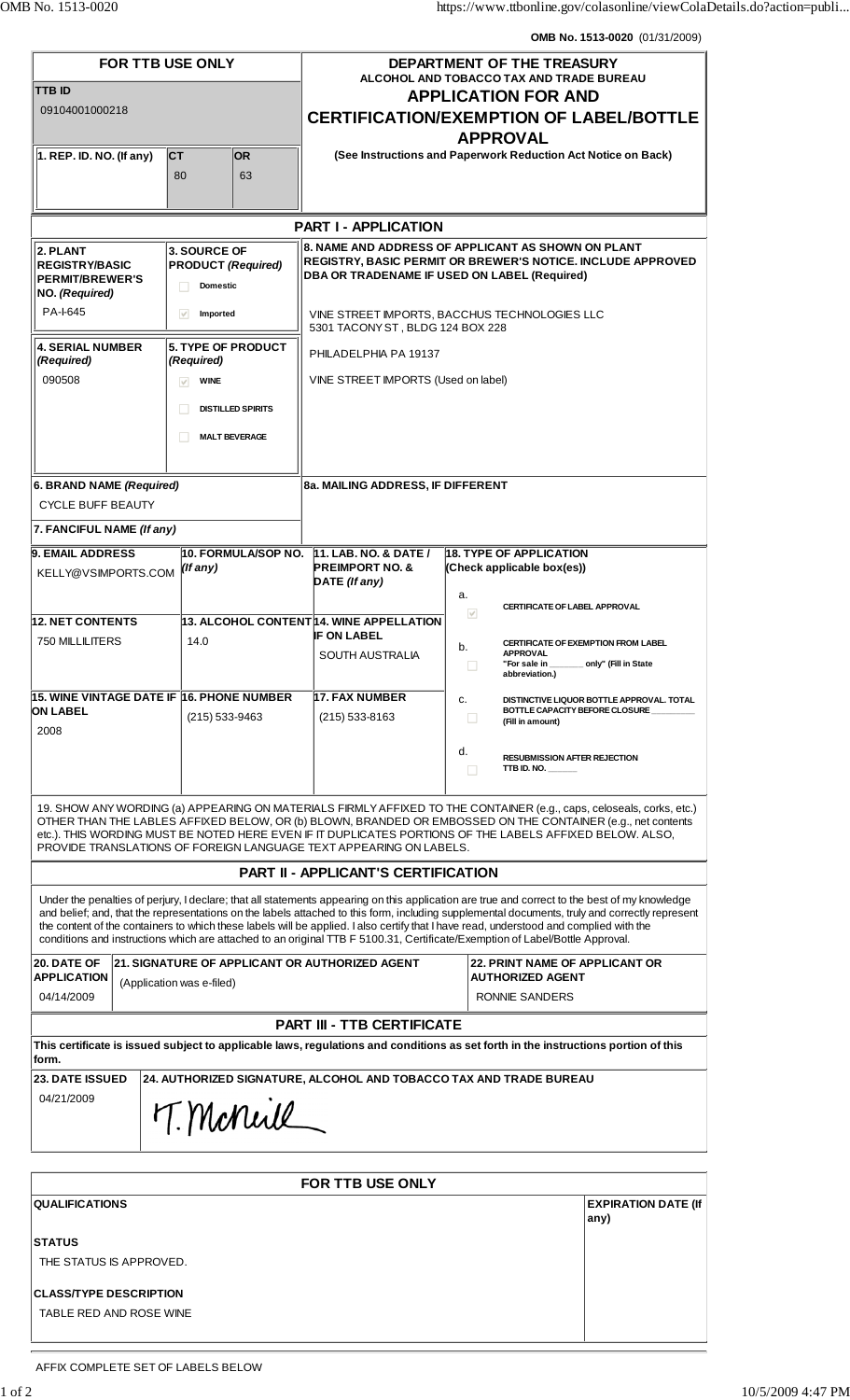**OMB No. 1513-0020** (01/31/2009)

| FOR TTB USE ONLY<br>TTB ID<br>09104001000218                                                                                                                                                                                                                                                                                                                                                                          |                                                               |                          | DEPARTMENT OF THE TREASURY<br>ALCOHOL AND TOBACCO TAX AND TRADE BUREAU<br><b>APPLICATION FOR AND</b><br><b>CERTIFICATION/EXEMPTION OF LABEL/BOTTLE</b>                                                                                                                                                                                                                                                                                                                                                                                                                    |                                                                                                            |                                                                |  |
|-----------------------------------------------------------------------------------------------------------------------------------------------------------------------------------------------------------------------------------------------------------------------------------------------------------------------------------------------------------------------------------------------------------------------|---------------------------------------------------------------|--------------------------|---------------------------------------------------------------------------------------------------------------------------------------------------------------------------------------------------------------------------------------------------------------------------------------------------------------------------------------------------------------------------------------------------------------------------------------------------------------------------------------------------------------------------------------------------------------------------|------------------------------------------------------------------------------------------------------------|----------------------------------------------------------------|--|
| $\vert$ 1. REP. ID. NO. (If any)                                                                                                                                                                                                                                                                                                                                                                                      | <b>CT</b><br><b>OR</b><br>63<br>80                            |                          | <b>APPROVAL</b><br>(See Instructions and Paperwork Reduction Act Notice on Back)                                                                                                                                                                                                                                                                                                                                                                                                                                                                                          |                                                                                                            |                                                                |  |
|                                                                                                                                                                                                                                                                                                                                                                                                                       |                                                               |                          |                                                                                                                                                                                                                                                                                                                                                                                                                                                                                                                                                                           |                                                                                                            |                                                                |  |
| <b>PART I - APPLICATION</b>                                                                                                                                                                                                                                                                                                                                                                                           |                                                               |                          |                                                                                                                                                                                                                                                                                                                                                                                                                                                                                                                                                                           |                                                                                                            |                                                                |  |
| 2. PLANT<br><b>REGISTRY/BASIC</b><br><b>PERMIT/BREWER'S</b><br>NO. (Required)                                                                                                                                                                                                                                                                                                                                         | 3. SOURCE OF<br><b>PRODUCT (Required)</b><br><b>Domestic</b>  |                          | 8. NAME AND ADDRESS OF APPLICANT AS SHOWN ON PLANT<br>REGISTRY, BASIC PERMIT OR BREWER'S NOTICE. INCLUDE APPROVED<br>DBA OR TRADENAME IF USED ON LABEL (Required)                                                                                                                                                                                                                                                                                                                                                                                                         |                                                                                                            |                                                                |  |
| PA-I-645                                                                                                                                                                                                                                                                                                                                                                                                              | $\checkmark$<br>Imported                                      |                          | VINE STREET IMPORTS, BACCHUS TECHNOLOGIES LLC<br>5301 TACONY ST, BLDG 124 BOX 228                                                                                                                                                                                                                                                                                                                                                                                                                                                                                         |                                                                                                            |                                                                |  |
| <b>4. SERIAL NUMBER</b><br>(Required)                                                                                                                                                                                                                                                                                                                                                                                 | <b>5. TYPE OF PRODUCT</b><br>(Required)                       |                          | PHILADELPHIA PA 19137                                                                                                                                                                                                                                                                                                                                                                                                                                                                                                                                                     |                                                                                                            |                                                                |  |
| 090508                                                                                                                                                                                                                                                                                                                                                                                                                | <b>WINE</b><br>$\vee$                                         |                          | VINE STREET IMPORTS (Used on label)                                                                                                                                                                                                                                                                                                                                                                                                                                                                                                                                       |                                                                                                            |                                                                |  |
|                                                                                                                                                                                                                                                                                                                                                                                                                       |                                                               | <b>DISTILLED SPIRITS</b> |                                                                                                                                                                                                                                                                                                                                                                                                                                                                                                                                                                           |                                                                                                            |                                                                |  |
|                                                                                                                                                                                                                                                                                                                                                                                                                       |                                                               | <b>MALT BEVERAGE</b>     |                                                                                                                                                                                                                                                                                                                                                                                                                                                                                                                                                                           |                                                                                                            |                                                                |  |
|                                                                                                                                                                                                                                                                                                                                                                                                                       |                                                               |                          |                                                                                                                                                                                                                                                                                                                                                                                                                                                                                                                                                                           |                                                                                                            |                                                                |  |
| 6. BRAND NAME (Required)<br><b>CYCLE BUFF BEAUTY</b>                                                                                                                                                                                                                                                                                                                                                                  |                                                               |                          | 8a. MAILING ADDRESS, IF DIFFERENT                                                                                                                                                                                                                                                                                                                                                                                                                                                                                                                                         |                                                                                                            |                                                                |  |
| 7. FANCIFUL NAME (If any)                                                                                                                                                                                                                                                                                                                                                                                             |                                                               |                          |                                                                                                                                                                                                                                                                                                                                                                                                                                                                                                                                                                           |                                                                                                            |                                                                |  |
| <b>9. EMAIL ADDRESS</b><br>h0. FORMULA/SOP NO.                                                                                                                                                                                                                                                                                                                                                                        |                                                               |                          | <b>11. LAB. NO. &amp; DATE /</b>                                                                                                                                                                                                                                                                                                                                                                                                                                                                                                                                          | <b>18. TYPE OF APPLICATION</b>                                                                             |                                                                |  |
| KELLY@VSIMPORTS.COM                                                                                                                                                                                                                                                                                                                                                                                                   | $($ If any $)$                                                |                          | <b>PREIMPORT NO. &amp;</b><br>DATE (If any)                                                                                                                                                                                                                                                                                                                                                                                                                                                                                                                               | (Check applicable box(es))<br>a.                                                                           |                                                                |  |
| <b>12. NET CONTENTS</b>                                                                                                                                                                                                                                                                                                                                                                                               |                                                               |                          | 13. ALCOHOL CONTENT 14. WINE APPELLATION                                                                                                                                                                                                                                                                                                                                                                                                                                                                                                                                  | <b>CERTIFICATE OF LABEL APPROVAL</b><br>$\overline{\mathbf{v}}$                                            |                                                                |  |
| 750 MILLILITERS                                                                                                                                                                                                                                                                                                                                                                                                       | 14.0                                                          |                          | <b>IF ON LABEL</b><br><b>SOUTH AUSTRALIA</b>                                                                                                                                                                                                                                                                                                                                                                                                                                                                                                                              | b.<br><b>APPROVAL</b><br>"For sale in<br>◡<br>abbreviation.)                                               | CERTIFICATE OF EXEMPTION FROM LABEL<br>__ only" (Fill in State |  |
| ∣15. WINE VINTAGE DATE IF ∣16. PHONE NUMBER<br><b>ON LABEL</b><br>2008                                                                                                                                                                                                                                                                                                                                                | (215) 533-9463                                                |                          | 17. FAX NUMBER<br>$(215)$ 533-8163                                                                                                                                                                                                                                                                                                                                                                                                                                                                                                                                        | c.<br>DISTINCTIVE LIQUOR BOTTLE APPROVAL. TOTAL<br>BOTTLE CAPACITY BEFORE CLOSURE<br>ш<br>(Fill in amount) |                                                                |  |
|                                                                                                                                                                                                                                                                                                                                                                                                                       |                                                               |                          | d.<br><b>RESUBMISSION AFTER REJECTION</b><br>TTB ID. NO. $\frac{1}{2}$<br>П                                                                                                                                                                                                                                                                                                                                                                                                                                                                                               |                                                                                                            |                                                                |  |
| 19. SHOW ANY WORDING (a) APPEARING ON MATERIALS FIRMLY AFFIXED TO THE CONTAINER (e.g., caps, celoseals, corks, etc.)<br>OTHER THAN THE LABLES AFFIXED BELOW, OR (b) BLOWN, BRANDED OR EMBOSSED ON THE CONTAINER (e.g., net contents<br>etc.). THIS WORDING MUST BE NOTED HERE EVEN IF IT DUPLICATES PORTIONS OF THE LABELS AFFIXED BELOW. ALSO,<br>PROVIDE TRANSLATIONS OF FOREIGN LANGUAGE TEXT APPEARING ON LABELS. |                                                               |                          |                                                                                                                                                                                                                                                                                                                                                                                                                                                                                                                                                                           |                                                                                                            |                                                                |  |
| <b>PART II - APPLICANT'S CERTIFICATION</b>                                                                                                                                                                                                                                                                                                                                                                            |                                                               |                          |                                                                                                                                                                                                                                                                                                                                                                                                                                                                                                                                                                           |                                                                                                            |                                                                |  |
|                                                                                                                                                                                                                                                                                                                                                                                                                       |                                                               |                          | Under the penalties of perjury, I declare; that all statements appearing on this application are true and correct to the best of my knowledge<br>and belief; and, that the representations on the labels attached to this form, including supplemental documents, truly and correctly represent<br>the content of the containers to which these labels will be applied. I also certify that I have read, understood and complied with the<br>conditions and instructions which are attached to an original TTB F 5100.31, Certificate/Exemption of Label/Bottle Approval. |                                                                                                            |                                                                |  |
| 20. DATE OF<br><b>APPLICATION</b><br>04/14/2009                                                                                                                                                                                                                                                                                                                                                                       | (Application was e-filed)                                     |                          | 21. SIGNATURE OF APPLICANT OR AUTHORIZED AGENT                                                                                                                                                                                                                                                                                                                                                                                                                                                                                                                            | 22. PRINT NAME OF APPLICANT OR<br><b>AUTHORIZED AGENT</b><br>RONNIE SANDERS                                |                                                                |  |
| <b>PART III - TTB CERTIFICATE</b>                                                                                                                                                                                                                                                                                                                                                                                     |                                                               |                          |                                                                                                                                                                                                                                                                                                                                                                                                                                                                                                                                                                           |                                                                                                            |                                                                |  |
| This certificate is issued subject to applicable laws, regulations and conditions as set forth in the instructions portion of this<br>form.                                                                                                                                                                                                                                                                           |                                                               |                          |                                                                                                                                                                                                                                                                                                                                                                                                                                                                                                                                                                           |                                                                                                            |                                                                |  |
| <b>23. DATE ISSUED</b><br>04/21/2009                                                                                                                                                                                                                                                                                                                                                                                  |                                                               | T. Manuil                | 24. AUTHORIZED SIGNATURE, ALCOHOL AND TOBACCO TAX AND TRADE BUREAU                                                                                                                                                                                                                                                                                                                                                                                                                                                                                                        |                                                                                                            |                                                                |  |
|                                                                                                                                                                                                                                                                                                                                                                                                                       |                                                               |                          |                                                                                                                                                                                                                                                                                                                                                                                                                                                                                                                                                                           |                                                                                                            |                                                                |  |
| <b>QUALIFICATIONS</b>                                                                                                                                                                                                                                                                                                                                                                                                 | <b>FOR TTB USE ONLY</b><br><b>EXPIRATION DATE (If</b><br>any) |                          |                                                                                                                                                                                                                                                                                                                                                                                                                                                                                                                                                                           |                                                                                                            |                                                                |  |
| <b>STATUS</b><br>THE STATUS IS APPROVED.                                                                                                                                                                                                                                                                                                                                                                              |                                                               |                          |                                                                                                                                                                                                                                                                                                                                                                                                                                                                                                                                                                           |                                                                                                            |                                                                |  |
| <b>CLASS/TYPE DESCRIPTION</b>                                                                                                                                                                                                                                                                                                                                                                                         |                                                               |                          |                                                                                                                                                                                                                                                                                                                                                                                                                                                                                                                                                                           |                                                                                                            |                                                                |  |

TABLE RED AND ROSE WINE